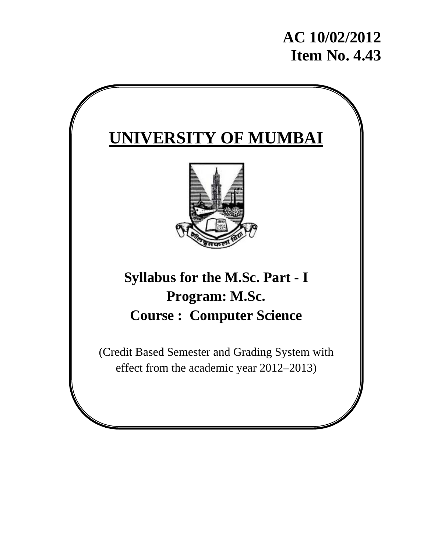# **AC 10/02/2012 Item No. 4.43**

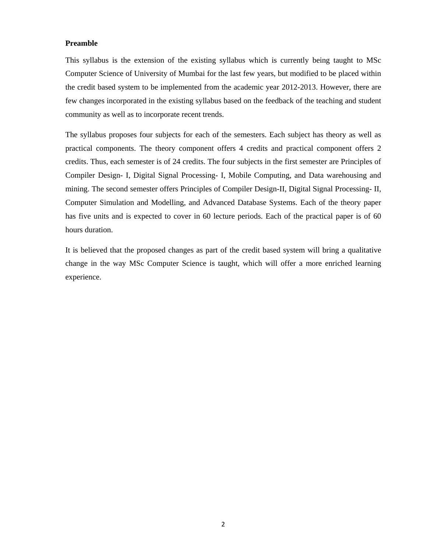#### **Preamble**

This syllabus is the extension of the existing syllabus which is currently being taught to MSc Computer Science of University of Mumbai for the last few years, but modified to be placed within the credit based system to be implemented from the academic year 2012-2013. However, there are few changes incorporated in the existing syllabus based on the feedback of the teaching and student community as well as to incorporate recent trends.

The syllabus proposes four subjects for each of the semesters. Each subject has theory as well as practical components. The theory component offers 4 credits and practical component offers 2 credits. Thus, each semester is of 24 credits. The four subjects in the first semester are Principles of Compiler Design- I, Digital Signal Processing- I, Mobile Computing, and Data warehousing and mining. The second semester offers Principles of Compiler Design-II, Digital Signal Processing- II, Computer Simulation and Modelling, and Advanced Database Systems. Each of the theory paper has five units and is expected to cover in 60 lecture periods. Each of the practical paper is of 60 hours duration.

It is believed that the proposed changes as part of the credit based system will bring a qualitative change in the way MSc Computer Science is taught, which will offer a more enriched learning experience.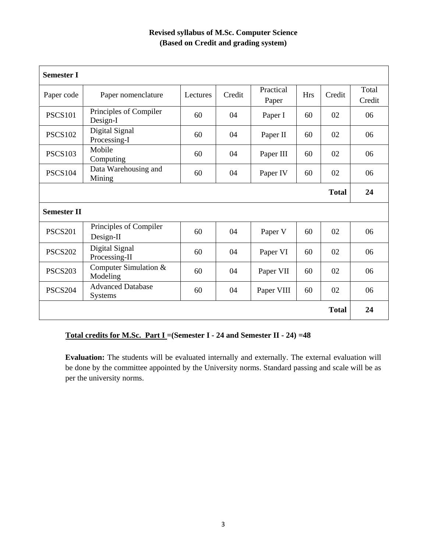## **Revised syllabus of M.Sc. Computer Science (Based on Credit and grading system)**

| <b>Semester I</b>  |                                            |          |        |                    |            |              |                 |
|--------------------|--------------------------------------------|----------|--------|--------------------|------------|--------------|-----------------|
| Paper code         | Paper nomenclature                         | Lectures | Credit | Practical<br>Paper | <b>Hrs</b> | Credit       | Total<br>Credit |
| <b>PSCS101</b>     | Principles of Compiler<br>Design-I         | 60       | 04     | Paper I            | 60         | 02           | 06              |
| <b>PSCS102</b>     | Digital Signal<br>Processing-I             | 60       | 04     | Paper II           | 60         | 02           | 06              |
| <b>PSCS103</b>     | Mobile<br>Computing                        | 60       | 04     | Paper III          | 60         | 02           | 06              |
| <b>PSCS104</b>     | Data Warehousing and<br>Mining             | 60       | 04     | Paper IV           | 60         | 02           | 06              |
|                    |                                            |          |        |                    |            | <b>Total</b> | 24              |
| <b>Semester II</b> |                                            |          |        |                    |            |              |                 |
| <b>PSCS201</b>     | Principles of Compiler<br>Design-II        | 60       | 04     | Paper V            | 60         | 02           | 06              |
| <b>PSCS202</b>     | Digital Signal<br>Processing-II            | 60       | 04     | Paper VI           | 60         | 02           | 06              |
| <b>PSCS203</b>     | Computer Simulation &<br>Modeling          | 60       | 04     | Paper VII          | 60         | 02           | 06              |
| <b>PSCS204</b>     | <b>Advanced Database</b><br><b>Systems</b> | 60       | 04     | Paper VIII         | 60         | 02           | 06              |
|                    |                                            |          |        |                    |            | <b>Total</b> | 24              |

## **Total credits for M.Sc. Part I =(Semester I - 24 and Semester II - 24) =48**

Evaluation: The students will be evaluated internally and externally. The external evaluation will be done by the committee appointed by the University norms. Standard passing and scale will be as per the university norms.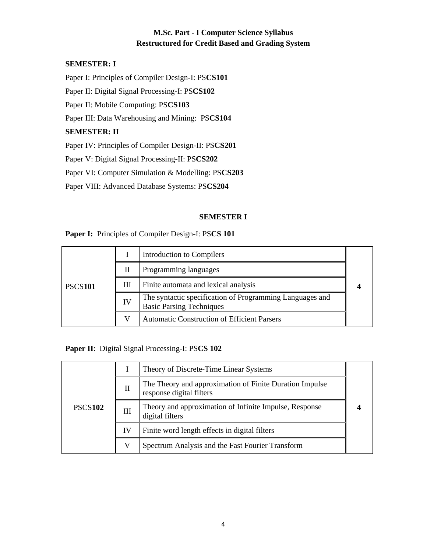## **M.Sc. Part - I Computer Science Syllabus Restructured for Credit Based and Grading System**

#### **SEMESTER: I**

Paper I: Principles of Compiler Design-I: PS**CS101**

Paper II: Digital Signal Processing-I: PS**CS102** 

Paper II: Mobile Computing: PS**CS103**

Paper III: Data Warehousing and Mining: PS**CS104** 

#### **SEMESTER: II**

Paper IV: Principles of Compiler Design-II: PS**CS201**

Paper V: Digital Signal Processing-II: PS**CS202**

Paper VI: Computer Simulation & Modelling: PS**CS203**

Paper VIII: Advanced Database Systems: PS**CS204**

#### **SEMESTER I**

#### **Paper I:** Principles of Compiler Design-I: PS**CS 101**

|                |    | Introduction to Compilers                                                                   |  |
|----------------|----|---------------------------------------------------------------------------------------------|--|
|                | П  | Programming languages                                                                       |  |
| <b>PSCS101</b> | Ш  | Finite automata and lexical analysis                                                        |  |
|                | IV | The syntactic specification of Programming Languages and<br><b>Basic Parsing Techniques</b> |  |
|                |    | <b>Automatic Construction of Efficient Parsers</b>                                          |  |

**Paper II**: Digital Signal Processing-I: PS**CS 102** 

|                |    | Theory of Discrete-Time Linear Systems                                              |  |
|----------------|----|-------------------------------------------------------------------------------------|--|
|                | П  | The Theory and approximation of Finite Duration Impulse<br>response digital filters |  |
| <b>PSCS102</b> | Ш  | Theory and approximation of Infinite Impulse, Response<br>digital filters           |  |
|                | IV | Finite word length effects in digital filters                                       |  |
|                | V  | Spectrum Analysis and the Fast Fourier Transform                                    |  |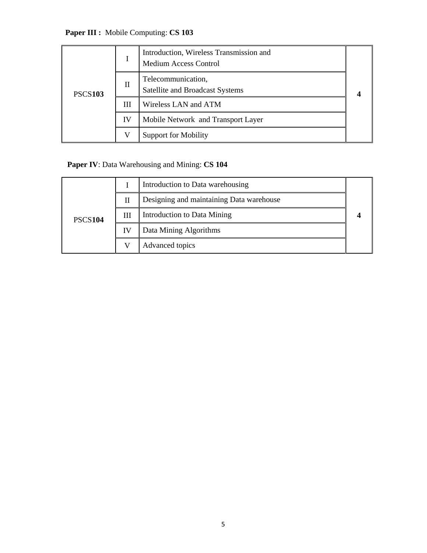**Paper III :** Mobile Computing: **CS 103** 

|                |    | Introduction, Wireless Transmission and<br><b>Medium Access Control</b> |  |
|----------------|----|-------------------------------------------------------------------------|--|
| <b>PSCS103</b> | П  | Telecommunication,<br>Satellite and Broadcast Systems                   |  |
|                | Ш  | Wireless LAN and ATM                                                    |  |
|                | IV | Mobile Network and Transport Layer                                      |  |
|                | V  | <b>Support for Mobility</b>                                             |  |

## **Paper IV**: Data Warehousing and Mining: **CS 104**

|                |    | Introduction to Data warehousing         |  |
|----------------|----|------------------------------------------|--|
|                | Н  | Designing and maintaining Data warehouse |  |
| <b>PSCS104</b> | Ш  | Introduction to Data Mining              |  |
|                | IV | Data Mining Algorithms                   |  |
|                |    | Advanced topics                          |  |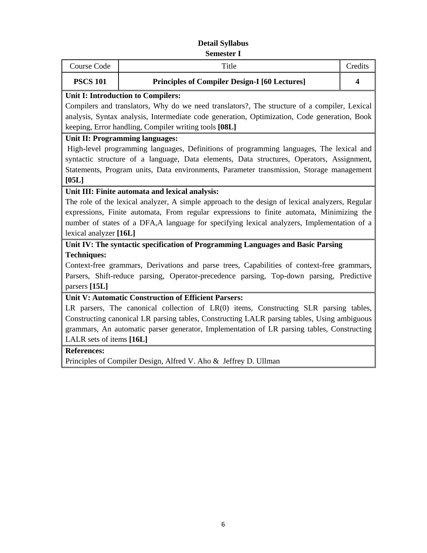#### **Detail Syllabus Semester I**

| Course Code                                                                                  | Title                                                | Credits |  |  |  |
|----------------------------------------------------------------------------------------------|------------------------------------------------------|---------|--|--|--|
| <b>PSCS 101</b>                                                                              | <b>Principles of Compiler Design-I [60 Lectures]</b> |         |  |  |  |
|                                                                                              | Unit I: Introduction to Compilers:                   |         |  |  |  |
| Compilers and translators, Why do we need translators?, The structure of a compiler, Lexical |                                                      |         |  |  |  |

analysis, Syntax analysis, Intermediate code generation, Optimization, Code generation, Book

# keeping, Error handling, Compiler writing tools **[08L]**

## **Unit II: Programming languages:**

High-level programming languages, Definitions of programming languages, The lexical and syntactic structure of a language, Data elements, Data structures, Operators, Assignment, Statements, Program units, Data environments, Parameter transmission, Storage management **[05L]**

## **Unit III: Finite automata and lexical analysis:**

The role of the lexical analyzer, A simple approach to the design of lexical analyzers, Regular expressions, Finite automata, From regular expressions to finite automata, Minimizing the number of states of a DFA,A language for specifying lexical analyzers, Implementation of a lexical analyzer **[16L]**

## **Unit IV: The syntactic specification of Programming Languages and Basic Parsing Techniques:**

Context-free grammars, Derivations and parse trees, Capabilities of context-free grammars, Parsers, Shift-reduce parsing, Operator-precedence parsing, Top-down parsing, Predictive parsers **[15L]**

## **Unit V: Automatic Construction of Efficient Parsers:**

LR parsers, The canonical collection of LR(0) items, Constructing SLR parsing tables, Constructing canonical LR parsing tables, Constructing LALR parsing tables, Using ambiguous grammars, An automatic parser generator, Implementation of LR parsing tables, Constructing LALR sets of items **[16L]**

## **References:**

Principles of Compiler Design, Alfred V. Aho & Jeffrey D. Ullman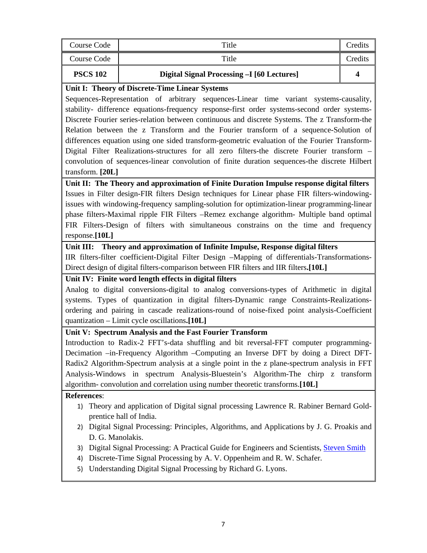| Course Code                     | Title                                                                 | Credits |
|---------------------------------|-----------------------------------------------------------------------|---------|
| Course Code                     | Title                                                                 | Credits |
| <b>PSCS 102</b>                 | Digital Signal Processing -I [60 Lectures]                            |         |
| . <del>. .</del><br><b>FINE</b> | $\mathbf{a}$ $\mathbf{m}$<br>$\mathbf{r}$<br>$\sim$<br>$\mathbf{r}$ . |         |

#### **Unit I: Theory of Discrete-Time Linear Systems**

Sequences-Representation of arbitrary sequences-Linear time variant systems-causality, stability- difference equations-frequency response-first order systems-second order systems-Discrete Fourier series-relation between continuous and discrete Systems. The z Transform-the Relation between the z Transform and the Fourier transform of a sequence-Solution of differences equation using one sided transform-geometric evaluation of the Fourier Transform-Digital Filter Realizations-structures for all zero filters-the discrete Fourier transform – convolution of sequences-linear convolution of finite duration sequences-the discrete Hilbert transform. **[20L]**

**Unit II: The Theory and approximation of Finite Duration Impulse response digital filters**  Issues in Filter design-FIR filters Design techniques for Linear phase FIR filters-windowingissues with windowing-frequency sampling-solution for optimization-linear programming-linear phase filters-Maximal ripple FIR Filters –Remez exchange algorithm- Multiple band optimal FIR Filters-Design of filters with simultaneous constrains on the time and frequency response.**[10L]**

#### **Unit III: Theory and approximation of Infinite Impulse, Response digital filters**

IIR filters-filter coefficient-Digital Filter Design –Mapping of differentials-Transformations-Direct design of digital filters-comparison between FIR filters and IIR filters**.[10L]**

#### **Unit IV: Finite word length effects in digital filters**

Analog to digital conversions-digital to analog conversions-types of Arithmetic in digital systems. Types of quantization in digital filters-Dynamic range Constraints-Realizationsordering and pairing in cascade realizations-round of noise-fixed point analysis-Coefficient quantization – Limit cycle oscillations**.[10L]**

#### **Unit V: Spectrum Analysis and the Fast Fourier Transform**

Introduction to Radix-2 FFT's-data shuffling and bit reversal-FFT computer programming-Decimation –in-Frequency Algorithm –Computing an Inverse DFT by doing a Direct DFT-Radix2 Algorithm-Spectrum analysis at a single point in the z plane-spectrum analysis in FFT Analysis-Windows in spectrum Analysis-Bluestein's Algorithm-The chirp z transform algorithm- convolution and correlation using number theoretic transforms.**[10L]**

#### **References**:

- 1) Theory and application of Digital signal processing Lawrence R. Rabiner Bernard Goldprentice hall of India.
- 2) Digital Signal Processing: Principles, Algorithms, and Applications by J. G. Proakis and D. G. Manolakis.
- 3) Digital Signal Processing: A Practical Guide for Engineers and Scientists, Steven Smith
- 4) Discrete-Time Signal Processing by A. V. Oppenheim and R. W. Schafer.
- 5) Understanding Digital Signal Processing by Richard G. Lyons.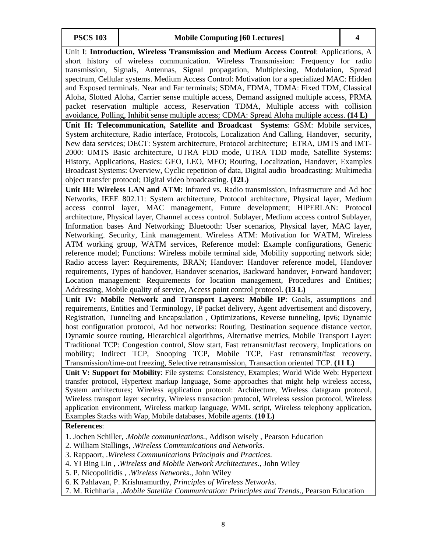Unit I: **Introduction, Wireless Transmission and Medium Access Control**: Applications, A short history of wireless communication. Wireless Transmission: Frequency for radio transmission, Signals, Antennas, Signal propagation, Multiplexing, Modulation, Spread spectrum, Cellular systems. Medium Access Control: Motivation for a specialized MAC: Hidden and Exposed terminals. Near and Far terminals; SDMA, FDMA, TDMA: Fixed TDM, Classical Aloha, Slotted Aloha, Carrier sense multiple access, Demand assigned multiple access, PRMA packet reservation multiple access, Reservation TDMA, Multiple access with collision avoidance, Polling, Inhibit sense multiple access; CDMA: Spread Aloha multiple access. **(14 L) Unit II: Telecommunication, Satellite and Broadcast Systems**: GSM: Mobile services, System architecture, Radio interface, Protocols, Localization And Calling, Handover, security, New data services; DECT: System architecture, Protocol architecture; ETRA, UMTS and IMT-2000: UMTS Basic architecture, UTRA FDD mode, UTRA TDD mode, Satellite Systems: History, Applications, Basics: GEO, LEO, MEO; Routing, Localization, Handover, Examples Broadcast Systems: Overview, Cyclic repetition of data, Digital audio broadcasting: Multimedia object transfer protocol; Digital video broadcasting. **(12L) Unit III: Wireless LAN and ATM**: Infrared vs. Radio transmission, Infrastructure and Ad hoc Networks, IEEE 802.11: System architecture, Protocol architecture, Physical layer, Medium access control layer, MAC management, Future development; HIPERLAN: Protocol architecture, Physical layer, Channel access control. Sublayer, Medium access control Sublayer, Information bases And Networking; Bluetooth: User scenarios, Physical layer, MAC layer, Networking. Security, Link management. Wireless ATM: Motivation for WATM, Wireless ATM working group, WATM services, Reference model: Example configurations, Generic reference model; Functions: Wireless mobile terminal side, Mobility supporting network side; Radio access layer: Requirements, BRAN; Handover: Handover reference model, Handover requirements, Types of handover, Handover scenarios, Backward handover, Forward handover; Location management: Requirements for location management, Procedures and Entities; Addressing, Mobile quality of service, Access point control protocol. **(13 L) Unit IV: Mobile Network and Transport Layers: Mobile IP**: Goals, assumptions and requirements, Entities and Terminology, IP packet delivery, Agent advertisement and discovery, Registration, Tunneling and Encapsulation , Optimizations, Reverse tunneling, Ipv6; Dynamic host configuration protocol, Ad hoc networks: Routing, Destination sequence distance vector, Dynamic source routing, Hierarchical algorithms, Alternative metrics, Mobile Transport Layer: Traditional TCP: Congestion control, Slow start, Fast retransmit/fast recovery, Implications on mobility; Indirect TCP, Snooping TCP, Mobile TCP, Fast retransmit/fast recovery, Transmission/time-out freezing, Selective retransmission, Transaction oriented TCP. **(11 L) Unit V: Support for Mobility**: File systems: Consistency, Examples; World Wide Web: Hypertext transfer protocol, Hypertext markup language, Some approaches that might help wireless access, System architectures; Wireless application protocol: Architecture, Wireless datagram protocol, Wireless transport layer security, Wireless transaction protocol, Wireless session protocol, Wireless application environment, Wireless markup language, WML script, Wireless telephony application, Examples Stacks with Wap, Mobile databases, Mobile agents. **(10 L) References**: 1. Jochen Schiller, .*Mobile communications.,* Addison wisely , Pearson Education

- 2. William Stallings, .*Wireless Communications and Networks*.
- 3. Rappaort, .*Wireless Communications* P*rincipals and Practices*.
- 4. YI Bing Lin , .*Wireless and Mobile Network Architectures*., John Wiley
- 5. P. Nicopolitidis , .*Wireless Networks*., John Wiley
- 6. K Pahlavan, P. Krishnamurthy, *Principles of Wireless Networks*.
- 7. M. Richharia , .*Mobile Satellite Communication: Principles and Trends*., Pearson Education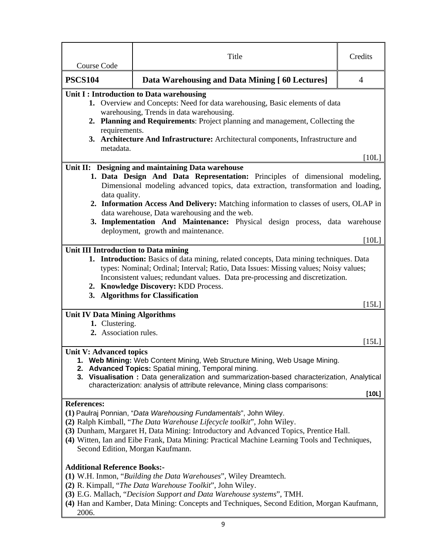| Course Code                                                                                                                                                                                                                                                                                                                                                                                     | Title                                                                                                                                                                                                                                                                                                                                                                                                                                          | Credits        |  |  |  |
|-------------------------------------------------------------------------------------------------------------------------------------------------------------------------------------------------------------------------------------------------------------------------------------------------------------------------------------------------------------------------------------------------|------------------------------------------------------------------------------------------------------------------------------------------------------------------------------------------------------------------------------------------------------------------------------------------------------------------------------------------------------------------------------------------------------------------------------------------------|----------------|--|--|--|
| <b>PSCS104</b>                                                                                                                                                                                                                                                                                                                                                                                  | Data Warehousing and Data Mining [60 Lectures]                                                                                                                                                                                                                                                                                                                                                                                                 | $\overline{4}$ |  |  |  |
| metadata.                                                                                                                                                                                                                                                                                                                                                                                       | Unit I : Introduction to Data warehousing<br>1. Overview and Concepts: Need for data warehousing, Basic elements of data<br>warehousing, Trends in data warehousing.<br>2. Planning and Requirements: Project planning and management, Collecting the<br>requirements.<br>3. Architecture And Infrastructure: Architectural components, Infrastructure and                                                                                     |                |  |  |  |
|                                                                                                                                                                                                                                                                                                                                                                                                 |                                                                                                                                                                                                                                                                                                                                                                                                                                                | [10L]          |  |  |  |
| data quality.                                                                                                                                                                                                                                                                                                                                                                                   | Unit II: Designing and maintaining Data warehouse<br>1. Data Design And Data Representation: Principles of dimensional modeling,<br>Dimensional modeling advanced topics, data extraction, transformation and loading,<br>2. Information Access And Delivery: Matching information to classes of users, OLAP in<br>data warehouse, Data warehousing and the web.<br>3. Implementation And Maintenance: Physical design process, data warehouse |                |  |  |  |
|                                                                                                                                                                                                                                                                                                                                                                                                 | deployment, growth and maintenance.                                                                                                                                                                                                                                                                                                                                                                                                            |                |  |  |  |
|                                                                                                                                                                                                                                                                                                                                                                                                 | Unit III Introduction to Data mining<br>1. Introduction: Basics of data mining, related concepts, Data mining techniques. Data<br>types: Nominal; Ordinal; Interval; Ratio, Data Issues: Missing values; Noisy values;<br>Inconsistent values; redundant values. Data pre-processing and discretization.<br>2. Knowledge Discovery: KDD Process.<br>3. Algorithms for Classification<br>[15L]                                                  |                |  |  |  |
| <b>Unit IV Data Mining Algorithms</b><br>1. Clustering.<br>2. Association rules.                                                                                                                                                                                                                                                                                                                |                                                                                                                                                                                                                                                                                                                                                                                                                                                |                |  |  |  |
| 2.                                                                                                                                                                                                                                                                                                                                                                                              | [15L]<br><b>Unit V: Advanced topics</b><br>1. Web Mining: Web Content Mining, Web Structure Mining, Web Usage Mining.<br>Advanced Topics: Spatial mining, Temporal mining.<br>3. Visualisation : Data generalization and summarization-based characterization, Analytical<br>characterization: analysis of attribute relevance, Mining class comparisons:<br>[10L]                                                                             |                |  |  |  |
| <b>References:</b><br>(1) Paulraj Ponnian, "Data Warehousing Fundamentals", John Wiley.<br>(2) Ralph Kimball, "The Data Warehouse Lifecycle toolkit", John Wiley.<br>(3) Dunham, Margaret H, Data Mining: Introductory and Advanced Topics, Prentice Hall.<br>(4) Witten, Ian and Eibe Frank, Data Mining: Practical Machine Learning Tools and Techniques,<br>Second Edition, Morgan Kaufmann. |                                                                                                                                                                                                                                                                                                                                                                                                                                                |                |  |  |  |
| <b>Additional Reference Books:-</b><br>(1) W.H. Inmon, "Building the Data Warehouses", Wiley Dreamtech.<br>(2) R. Kimpall, "The Data Warehouse Toolkit", John Wiley.<br>(3) E.G. Mallach, "Decision Support and Data Warehouse systems", TMH.<br>(4) Han and Kamber, Data Mining: Concepts and Techniques, Second Edition, Morgan Kaufmann,<br>2006.                                            |                                                                                                                                                                                                                                                                                                                                                                                                                                                |                |  |  |  |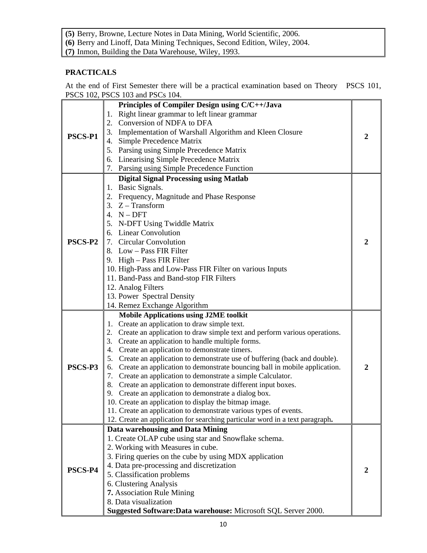**(5)** Berry, Browne, Lecture Notes in Data Mining, World Scientific, 2006.

**(6)** Berry and Linoff, Data Mining Techniques, Second Edition, Wiley, 2004.

**(7)** Inmon, Building the Data Warehouse, Wiley, 1993.

## **PRACTICALS**

At the end of First Semester there will be a practical examination based on Theory PSCS 101, PSCS 102, PSCS 103 and PSCs 104.

|         | Principles of Compiler Design using C/C++/Java                                                                                     |   |
|---------|------------------------------------------------------------------------------------------------------------------------------------|---|
|         | Right linear grammar to left linear grammar<br>1.                                                                                  |   |
|         | 2. Conversion of NDFA to DFA                                                                                                       |   |
| PSCS-P1 | 3. Implementation of Warshall Algorithm and Kleen Closure                                                                          | 2 |
|         | 4. Simple Precedence Matrix                                                                                                        |   |
|         | 5. Parsing using Simple Precedence Matrix                                                                                          |   |
|         | 6. Linearising Simple Precedence Matrix                                                                                            |   |
|         | 7. Parsing using Simple Precedence Function                                                                                        |   |
|         | <b>Digital Signal Processing using Matlab</b>                                                                                      |   |
|         | 1. Basic Signals.                                                                                                                  |   |
|         | 2. Frequency, Magnitude and Phase Response                                                                                         |   |
|         | 3. $Z - Transform$                                                                                                                 |   |
|         | 4. $N - DFT$                                                                                                                       |   |
|         | 5. N-DFT Using Twiddle Matrix                                                                                                      |   |
|         | 6. Linear Convolution                                                                                                              |   |
| PSCS-P2 | 7. Circular Convolution                                                                                                            | 2 |
|         | 8. Low - Pass FIR Filter                                                                                                           |   |
|         | 9. High - Pass FIR Filter                                                                                                          |   |
|         | 10. High-Pass and Low-Pass FIR Filter on various Inputs                                                                            |   |
|         | 11. Band-Pass and Band-stop FIR Filters                                                                                            |   |
|         | 12. Analog Filters                                                                                                                 |   |
|         | 13. Power Spectral Density                                                                                                         |   |
|         | 14. Remez Exchange Algorithm                                                                                                       |   |
|         | <b>Mobile Applications using J2ME toolkit</b>                                                                                      |   |
|         | 1. Create an application to draw simple text.                                                                                      |   |
|         | 2. Create an application to draw simple text and perform various operations.<br>3. Create an application to handle multiple forms. |   |
|         | 4. Create an application to demonstrate timers.                                                                                    |   |
|         | 5. Create an application to demonstrate use of buffering (back and double).                                                        |   |
| PSCS-P3 | 6. Create an application to demonstrate bouncing ball in mobile application.                                                       | 2 |
|         | 7. Create an application to demonstrate a simple Calculator.                                                                       |   |
|         | 8. Create an application to demonstrate different input boxes.                                                                     |   |
|         | 9. Create an application to demonstrate a dialog box.                                                                              |   |
|         | 10. Create an application to display the bitmap image.                                                                             |   |
|         | 11. Create an application to demonstrate various types of events.                                                                  |   |
|         | 12. Create an application for searching particular word in a text paragraph.                                                       |   |
|         | Data warehousing and Data Mining                                                                                                   |   |
|         | 1. Create OLAP cube using star and Snowflake schema.                                                                               |   |
|         | 2. Working with Measures in cube.                                                                                                  |   |
|         | 3. Firing queries on the cube by using MDX application                                                                             |   |
| PSCS-P4 | 4. Data pre-processing and discretization                                                                                          | 2 |
|         | 5. Classification problems                                                                                                         |   |
|         | 6. Clustering Analysis                                                                                                             |   |
|         | 7. Association Rule Mining                                                                                                         |   |
|         | 8. Data visualization                                                                                                              |   |
|         | Suggested Software: Data warehouse: Microsoft SQL Server 2000.                                                                     |   |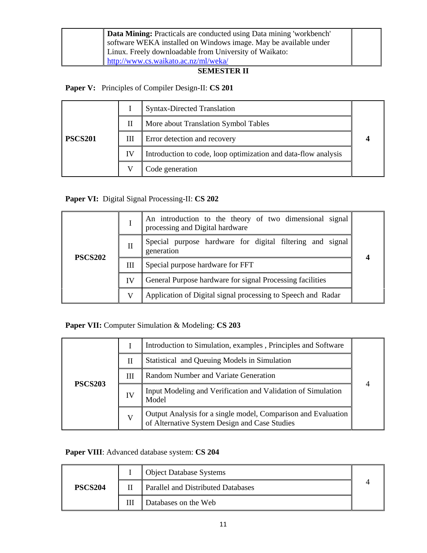| Data Mining: Practicals are conducted using Data mining 'workbench' |  |
|---------------------------------------------------------------------|--|
| software WEKA installed on Windows image. May be available under    |  |
|                                                                     |  |
| Linux. Freely downloadable from University of Waikato:              |  |
| http://www.cs.waikato.ac.nz/ml/weka/                                |  |

### **SEMESTER II**

## **Paper V:** Principles of Compiler Design-II: **CS 201**

|                |    | <b>Syntax-Directed Translation</b>                             |  |
|----------------|----|----------------------------------------------------------------|--|
|                | Н  | More about Translation Symbol Tables                           |  |
| <b>PSCS201</b> | Ш  | Error detection and recovery                                   |  |
|                | IV | Introduction to code, loop optimization and data-flow analysis |  |
|                |    | Code generation                                                |  |

## **Paper VI:** Digital Signal Processing-II: **CS 202**

|                |    | An introduction to the theory of two dimensional signal<br>processing and Digital hardware |  |
|----------------|----|--------------------------------------------------------------------------------------------|--|
| <b>PSCS202</b> | Н  | Special purpose hardware for digital filtering and signal<br>generation                    |  |
|                | Ш  | Special purpose hardware for FFT                                                           |  |
|                | IV | General Purpose hardware for signal Processing facilities                                  |  |
|                |    | Application of Digital signal processing to Speech and Radar                               |  |

## **Paper VII:** Computer Simulation & Modeling: **CS 203**

| <b>PSCS203</b> |    | Introduction to Simulation, examples, Principles and Software                                                  |  |
|----------------|----|----------------------------------------------------------------------------------------------------------------|--|
|                | П  | Statistical and Queuing Models in Simulation                                                                   |  |
|                | Ш  | Random Number and Variate Generation                                                                           |  |
|                | IV | Input Modeling and Verification and Validation of Simulation<br>Model                                          |  |
|                | V  | Output Analysis for a single model, Comparison and Evaluation<br>of Alternative System Design and Case Studies |  |

## **Paper VIII**: Advanced database system: **CS 204**

|                | <b>Object Database Systems</b>     |  |
|----------------|------------------------------------|--|
| <b>PSCS204</b> | Parallel and Distributed Databases |  |
|                | Databases on the Web               |  |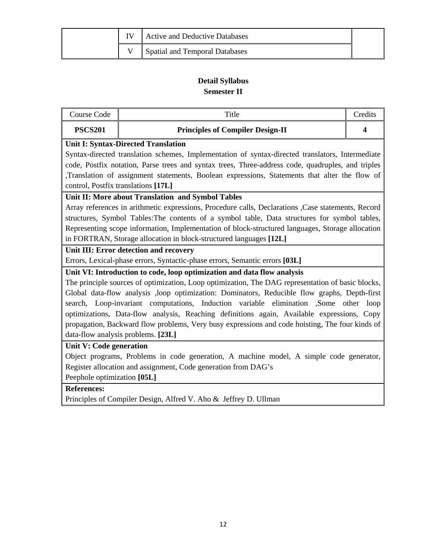|  | Active and Deductive Databases        |  |
|--|---------------------------------------|--|
|  | <b>Spatial and Temporal Databases</b> |  |

## **Detail Syllabus Semester II**

| <b>PSCS201</b><br><b>Principles of Compiler Design-II</b><br>$\boldsymbol{4}$                       |  |  |  |
|-----------------------------------------------------------------------------------------------------|--|--|--|
| <b>Unit I: Syntax-Directed Translation</b>                                                          |  |  |  |
| Syntax-directed translation schemes, Implementation of syntax-directed translators, Intermediate    |  |  |  |
| code, Postfix notation, Parse trees and syntax trees, Three-address code, quadruples, and triples   |  |  |  |
| ,Translation of assignment statements, Boolean expressions, Statements that alter the flow of       |  |  |  |
| control, Postfix translations [17L]                                                                 |  |  |  |
| Unit II: More about Translation and Symbol Tables                                                   |  |  |  |
| Array references in arithmetic expressions, Procedure calls, Declarations , Case statements, Record |  |  |  |
| structures, Symbol Tables: The contents of a symbol table, Data structures for symbol tables,       |  |  |  |
| Representing scope information, Implementation of block-structured languages, Storage allocation    |  |  |  |
| in FORTRAN, Storage allocation in block-structured languages [12L]                                  |  |  |  |
| Unit III: Error detection and recovery                                                              |  |  |  |
| Errors, Lexical-phase errors, Syntactic-phase errors, Semantic errors [03L]                         |  |  |  |
| Unit VI: Introduction to code, loop optimization and data flow analysis                             |  |  |  |
| The principle sources of optimization, Loop optimization, The DAG representation of basic blocks,   |  |  |  |
| Global data-flow analysis ,loop optimization: Dominators, Reducible flow graphs, Depth-first        |  |  |  |
| search, Loop-invariant computations, Induction variable elimination ,Some other<br>loop             |  |  |  |
| optimizations, Data-flow analysis, Reaching definitions again, Available expressions, Copy          |  |  |  |
| propagation, Backward flow problems, Very busy expressions and code hoisting, The four kinds of     |  |  |  |
| data-flow analysis problems. [23L]                                                                  |  |  |  |
| Unit V: Code generation                                                                             |  |  |  |
| Object programs, Problems in code generation, A machine model, A simple code generator,             |  |  |  |
| Register allocation and assignment, Code generation from DAG's                                      |  |  |  |
| Peephole optimization [05L]                                                                         |  |  |  |
| <b>References:</b>                                                                                  |  |  |  |
| Principles of Compiler Design, Alfred V. Aho & Jeffrey D. Ullman                                    |  |  |  |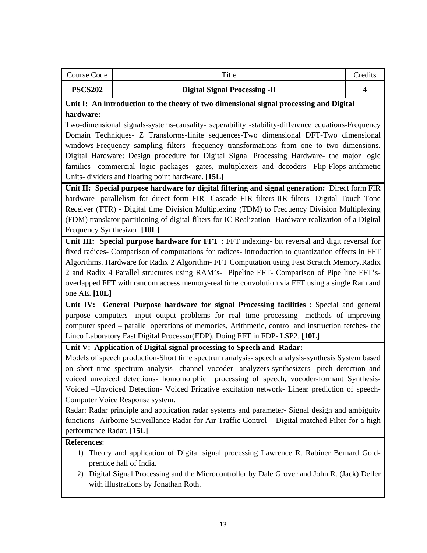| Course Code    | Title                                | redits |
|----------------|--------------------------------------|--------|
| <b>PSCS202</b> | <b>Digital Signal Processing -II</b> |        |

## **Unit I: An introduction to the theory of two dimensional signal processing and Digital hardware:**

Two-dimensional signals-systems-causality- seperability -stability-difference equations-Frequency Domain Techniques- Z Transforms-finite sequences-Two dimensional DFT-Two dimensional windows-Frequency sampling filters- frequency transformations from one to two dimensions. Digital Hardware: Design procedure for Digital Signal Processing Hardware- the major logic families- commercial logic packages- gates, multiplexers and decoders- Flip-Flops-arithmetic Units- dividers and floating point hardware. **[15L]**

**Unit II: Special purpose hardware for digital filtering and signal generation:** Direct form FIR hardware- parallelism for direct form FIR- Cascade FIR filters-IIR filters- Digital Touch Tone Receiver (TTR) - Digital time Division Multiplexing (TDM) to Frequency Division Multiplexing (FDM) translator partitioning of digital filters for IC Realization- Hardware realization of a Digital Frequency Synthesizer. **[10L]**

**Unit III: Special purpose hardware for FFT :** FFT indexing- bit reversal and digit reversal for fixed radices- Comparison of computations for radices- introduction to quantization effects in FFT Algorithms. Hardware for Radix 2 Algorithm- FFT Computation using Fast Scratch Memory.Radix 2 and Radix 4 Parallel structures using RAM's- Pipeline FFT- Comparison of Pipe line FFT'soverlapped FFT with random access memory-real time convolution via FFT using a single Ram and one AE. **[10L]**

**Unit IV: General Purpose hardware for signal Processing facilities** : Special and general purpose computers- input output problems for real time processing- methods of improving computer speed – parallel operations of memories, Arithmetic, control and instruction fetches- the Linco Laboratory Fast Digital Processor(FDP). Doing FFT in FDP- LSP2. **[10L]**

#### **Unit V: Application of Digital signal processing to Speech and Radar:**

Models of speech production-Short time spectrum analysis- speech analysis-synthesis System based on short time spectrum analysis- channel vocoder- analyzers-synthesizers- pitch detection and voiced unvoiced detections- homomorphic processing of speech, vocoder-formant Synthesis-Voiced –Unvoiced Detection- Voiced Fricative excitation network- Linear prediction of speech-Computer Voice Response system.

Radar: Radar principle and application radar systems and parameter- Signal design and ambiguity functions- Airborne Surveillance Radar for Air Traffic Control – Digital matched Filter for a high performance Radar. **[15L]**

#### **References**:

- 1) Theory and application of Digital signal processing Lawrence R. Rabiner Bernard Goldprentice hall of India.
- 2) Digital Signal Processing and the Microcontroller by Dale Grover and John R. (Jack) Deller with illustrations by Jonathan Roth.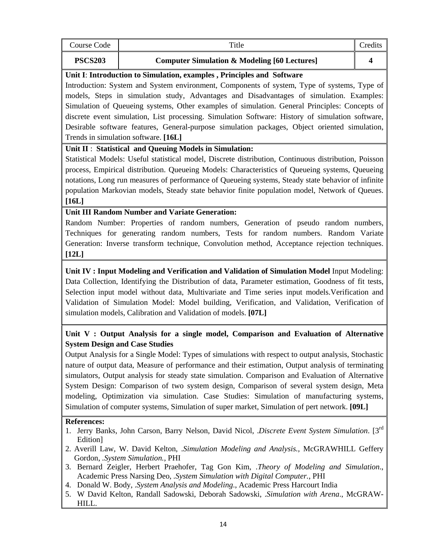| Course Code                    | Title                                                                                                                                                                                                                                                                                                                                                                                                                                                                                                                                                                                                                                                                                                                                       | Credits |
|--------------------------------|---------------------------------------------------------------------------------------------------------------------------------------------------------------------------------------------------------------------------------------------------------------------------------------------------------------------------------------------------------------------------------------------------------------------------------------------------------------------------------------------------------------------------------------------------------------------------------------------------------------------------------------------------------------------------------------------------------------------------------------------|---------|
| <b>PSCS203</b>                 | <b>Computer Simulation &amp; Modeling [60 Lectures]</b>                                                                                                                                                                                                                                                                                                                                                                                                                                                                                                                                                                                                                                                                                     | 4       |
|                                | Unit I: Introduction to Simulation, examples, Principles and Software<br>Introduction: System and System environment, Components of system, Type of systems, Type of<br>models, Steps in simulation study, Advantages and Disadvantages of simulation. Examples:<br>Simulation of Queueing systems, Other examples of simulation. General Principles: Concepts of<br>discrete event simulation, List processing. Simulation Software: History of simulation software,<br>Desirable software features, General-purpose simulation packages, Object oriented simulation,<br>Trends in simulation software. [16L]                                                                                                                              |         |
| $[16L]$                        | Unit II: Statistical and Queuing Models in Simulation:<br>Statistical Models: Useful statistical model, Discrete distribution, Continuous distribution, Poisson<br>process, Empirical distribution. Queueing Models: Characteristics of Queueing systems, Queueing<br>notations, Long run measures of performance of Queueing systems, Steady state behavior of infinite<br>population Markovian models, Steady state behavior finite population model, Network of Queues.                                                                                                                                                                                                                                                                  |         |
| [12L]                          | <b>Unit III Random Number and Variate Generation:</b><br>Random Number: Properties of random numbers, Generation of pseudo random numbers,<br>Techniques for generating random numbers, Tests for random numbers. Random Variate<br>Generation: Inverse transform technique, Convolution method, Acceptance rejection techniques.                                                                                                                                                                                                                                                                                                                                                                                                           |         |
|                                | Unit IV: Input Modeling and Verification and Validation of Simulation Model Input Modeling:<br>Data Collection, Identifying the Distribution of data, Parameter estimation, Goodness of fit tests,<br>Selection input model without data, Multivariate and Time series input models. Verification and<br>Validation of Simulation Model: Model building, Verification, and Validation, Verification of<br>simulation models, Calibration and Validation of models. [07L]                                                                                                                                                                                                                                                                    |         |
|                                | Unit V: Output Analysis for a single model, Comparison and Evaluation of Alternative<br><b>System Design and Case Studies</b><br>Output Analysis for a Single Model: Types of simulations with respect to output analysis, Stochastic<br>nature of output data, Measure of performance and their estimation, Output analysis of terminating<br>simulators, Output analysis for steady state simulation. Comparison and Evaluation of Alternative<br>System Design: Comparison of two system design, Comparison of several system design, Meta<br>modeling, Optimization via simulation. Case Studies: Simulation of manufacturing systems,<br>Simulation of computer systems, Simulation of super market, Simulation of pert network. [09L] |         |
| <b>References:</b><br>Edition] | Jerry Banks, John Carson, Barry Nelson, David Nicol, .Discrete Event System Simulation. [3rd]<br>2. Averill Law, W. David Kelton, .Simulation Modeling and Analysis., McGRAWHILL Geffery<br>Gordon, .System Simulation., PHI                                                                                                                                                                                                                                                                                                                                                                                                                                                                                                                |         |

- 3. Bernard Zeigler, Herbert Praehofer, Tag Gon Kim, .*Theory of Modeling and Simulation*., Academic Press Narsing Deo, *.System Simulation with Digital Computer.*, PHI
- 4. Donald W. Body, .*System Analysis and Modeling*., Academic Press Harcourt India
- 5. W David Kelton, Randall Sadowski, Deborah Sadowski, .*Simulation with Arena*., McGRAW-HILL.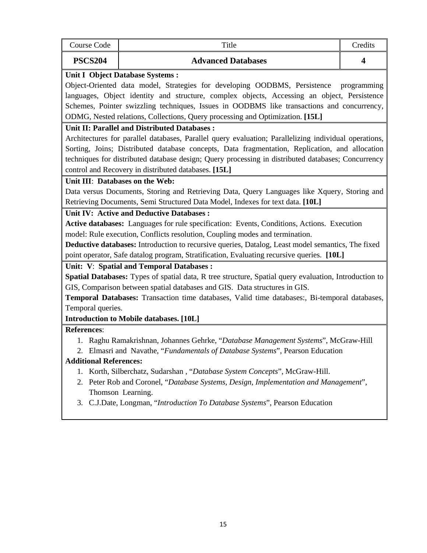| Course Code                   | Title                                                                                                 | Credits     |  |  |  |
|-------------------------------|-------------------------------------------------------------------------------------------------------|-------------|--|--|--|
| <b>PSCS204</b>                | <b>Advanced Databases</b>                                                                             | 4           |  |  |  |
|                               | <b>Unit I Object Database Systems:</b>                                                                |             |  |  |  |
|                               | Object-Oriented data model, Strategies for developing OODBMS, Persistence                             | programming |  |  |  |
|                               | languages, Object identity and structure, complex objects, Accessing an object, Persistence           |             |  |  |  |
|                               | Schemes, Pointer swizzling techniques, Issues in OODBMS like transactions and concurrency,            |             |  |  |  |
|                               | ODMG, Nested relations, Collections, Query processing and Optimization. [15L]                         |             |  |  |  |
|                               | <b>Unit II: Parallel and Distributed Databases:</b>                                                   |             |  |  |  |
|                               | Architectures for parallel databases, Parallel query evaluation; Parallelizing individual operations, |             |  |  |  |
|                               | Sorting, Joins; Distributed database concepts, Data fragmentation, Replication, and allocation        |             |  |  |  |
|                               | techniques for distributed database design; Query processing in distributed databases; Concurrency    |             |  |  |  |
|                               | control and Recovery in distributed databases. [15L]                                                  |             |  |  |  |
|                               | Unit III: Databases on the Web:                                                                       |             |  |  |  |
|                               | Data versus Documents, Storing and Retrieving Data, Query Languages like Xquery, Storing and          |             |  |  |  |
|                               | Retrieving Documents, Semi Structured Data Model, Indexes for text data. [10L]                        |             |  |  |  |
|                               | <b>Unit IV: Active and Deductive Databases:</b>                                                       |             |  |  |  |
|                               | Active databases: Languages for rule specification: Events, Conditions, Actions. Execution            |             |  |  |  |
|                               | model: Rule execution, Conflicts resolution, Coupling modes and termination.                          |             |  |  |  |
|                               | Deductive databases: Introduction to recursive queries, Datalog, Least model semantics, The fixed     |             |  |  |  |
|                               | point operator, Safe datalog program, Stratification, Evaluating recursive queries. [10L]             |             |  |  |  |
|                               | Unit: V: Spatial and Temporal Databases:                                                              |             |  |  |  |
|                               | Spatial Databases: Types of spatial data, R tree structure, Spatial query evaluation, Introduction to |             |  |  |  |
|                               | GIS, Comparison between spatial databases and GIS. Data structures in GIS.                            |             |  |  |  |
|                               | Temporal Databases: Transaction time databases, Valid time databases:, Bi-temporal databases,         |             |  |  |  |
|                               | Temporal queries.                                                                                     |             |  |  |  |
|                               | <b>Introduction to Mobile databases.</b> [10L]                                                        |             |  |  |  |
| <b>References:</b>            |                                                                                                       |             |  |  |  |
|                               | 1. Raghu Ramakrishnan, Johannes Gehrke, "Database Management Systems", McGraw-Hill                    |             |  |  |  |
|                               | 2. Elmasri and Navathe, "Fundamentals of Database Systems", Pearson Education                         |             |  |  |  |
| <b>Additional References:</b> |                                                                                                       |             |  |  |  |
|                               | 1. Korth, Silberchatz, Sudarshan, "Database System Concepts", McGraw-Hill.                            |             |  |  |  |
|                               | 2. Peter Rob and Coronel, "Database Systems, Design, Implementation and Management",                  |             |  |  |  |
|                               | Thomson Learning.                                                                                     |             |  |  |  |
|                               | 3. C.J.Date, Longman, "Introduction To Database Systems", Pearson Education                           |             |  |  |  |
|                               |                                                                                                       |             |  |  |  |
|                               |                                                                                                       |             |  |  |  |
|                               |                                                                                                       |             |  |  |  |
|                               |                                                                                                       |             |  |  |  |
|                               |                                                                                                       |             |  |  |  |